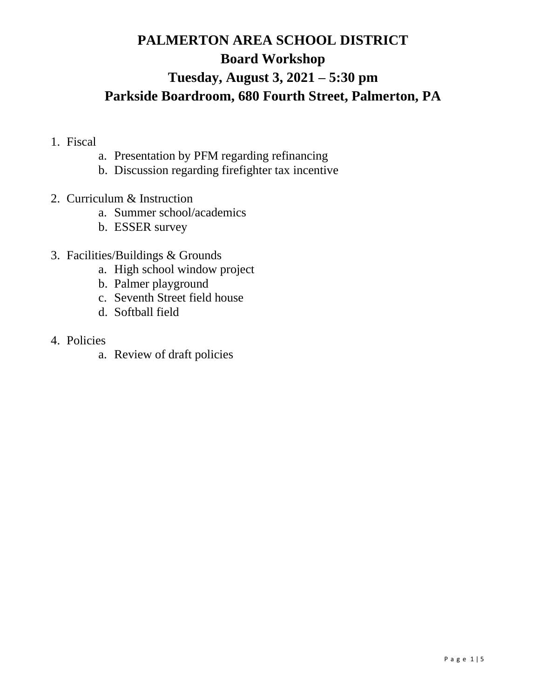# **PALMERTON AREA SCHOOL DISTRICT Board Workshop Tuesday, August 3, 2021 – 5:30 pm Parkside Boardroom, 680 Fourth Street, Palmerton, PA**

- 1. Fiscal
	- a. Presentation by PFM regarding refinancing
	- b. Discussion regarding firefighter tax incentive
- 2. Curriculum & Instruction
	- a. Summer school/academics
	- b. ESSER survey
- 3. Facilities/Buildings & Grounds
	- a. High school window project
	- b. Palmer playground
	- c. Seventh Street field house
	- d. Softball field
- 4. Policies
	- a. Review of draft policies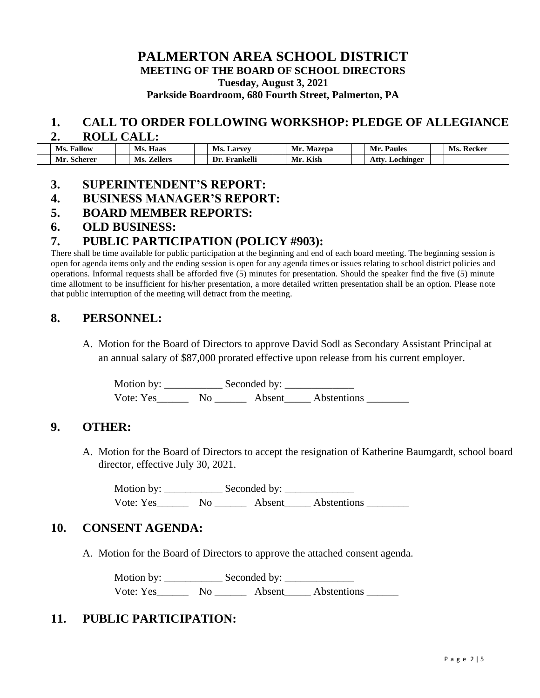# **PALMERTON AREA SCHOOL DISTRICT**

**MEETING OF THE BOARD OF SCHOOL DIRECTORS**

**Tuesday, August 3, 2021**

**Parkside Boardroom, 680 Fourth Street, Palmerton, PA**

#### **1. CALL TO ORDER FOLLOWING WORKSHOP: PLEDGE OF ALLEGIANCE 2. ROLL CALL:**

| ________<br>__________ |  |                        |  |                  |  |               |  |                      |  |               |  |
|------------------------|--|------------------------|--|------------------|--|---------------|--|----------------------|--|---------------|--|
| <b>Fallow</b><br>Ms.   |  | Haas<br>Ms.            |  | Ms.<br>. Larvey  |  | Mr.<br>Mazepa |  | Mr.<br><b>Paules</b> |  | Recker<br>Ms. |  |
| Mr.<br>Scherer         |  | <i>L</i> ellers<br>Ms. |  | Frankelli<br>Dr. |  | Kish<br>Mr.   |  | Attv.<br>Lochinger   |  |               |  |

# **3. SUPERINTENDENT'S REPORT:**

# **4. BUSINESS MANAGER'S REPORT:**

#### **5. BOARD MEMBER REPORTS:**

#### **6. OLD BUSINESS:**

#### **7. PUBLIC PARTICIPATION (POLICY #903):**

There shall be time available for public participation at the beginning and end of each board meeting. The beginning session is open for agenda items only and the ending session is open for any agenda times or issues relating to school district policies and operations. Informal requests shall be afforded five (5) minutes for presentation. Should the speaker find the five (5) minute time allotment to be insufficient for his/her presentation, a more detailed written presentation shall be an option. Please note that public interruption of the meeting will detract from the meeting.

# **8. PERSONNEL:**

A. Motion for the Board of Directors to approve David Sodl as Secondary Assistant Principal at an annual salary of \$87,000 prorated effective upon release from his current employer.

Motion by: \_\_\_\_\_\_\_\_\_\_\_ Seconded by: \_\_\_\_\_\_\_\_\_\_\_\_\_ Vote: Yes\_\_\_\_\_\_\_\_ No \_\_\_\_\_\_\_\_ Absent\_\_\_\_\_\_ Abstentions \_\_\_\_\_\_\_\_

#### **9. OTHER:**

A. Motion for the Board of Directors to accept the resignation of Katherine Baumgardt, school board director, effective July 30, 2021.

Motion by: \_\_\_\_\_\_\_\_\_\_\_ Seconded by: \_\_\_\_\_\_\_\_\_\_\_\_\_ Vote: Yes\_\_\_\_\_\_\_\_ No \_\_\_\_\_\_\_\_ Absent\_\_\_\_\_\_ Abstentions \_\_\_\_\_\_\_\_\_

# **10. CONSENT AGENDA:**

A. Motion for the Board of Directors to approve the attached consent agenda.

Motion by: Seconded by: Vote: Yes\_\_\_\_\_\_ No \_\_\_\_\_\_ Absent\_\_\_\_\_ Abstentions \_\_\_\_\_\_

# **11. PUBLIC PARTICIPATION:**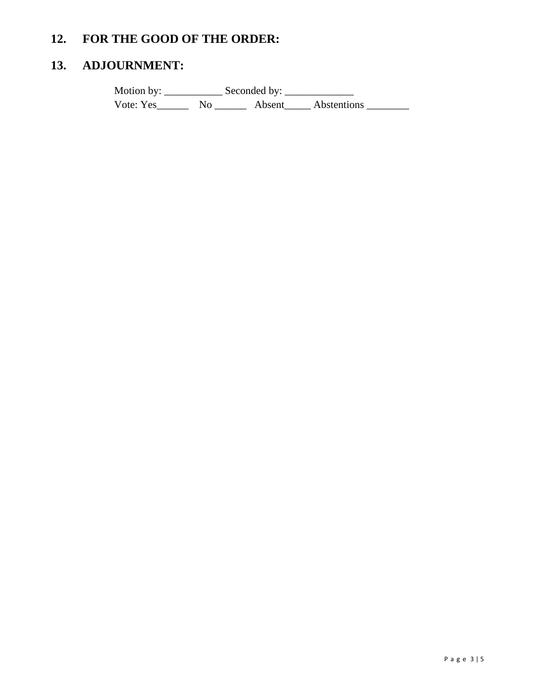# **12. FOR THE GOOD OF THE ORDER:**

# **13. ADJOURNMENT:**

Motion by: \_\_\_\_\_\_\_\_\_\_\_ Seconded by: \_\_\_\_\_\_\_\_\_\_\_\_\_ Vote: Yes\_\_\_\_\_\_\_\_ No \_\_\_\_\_\_\_\_ Absent\_\_\_\_\_ Abstentions \_\_\_\_\_\_\_\_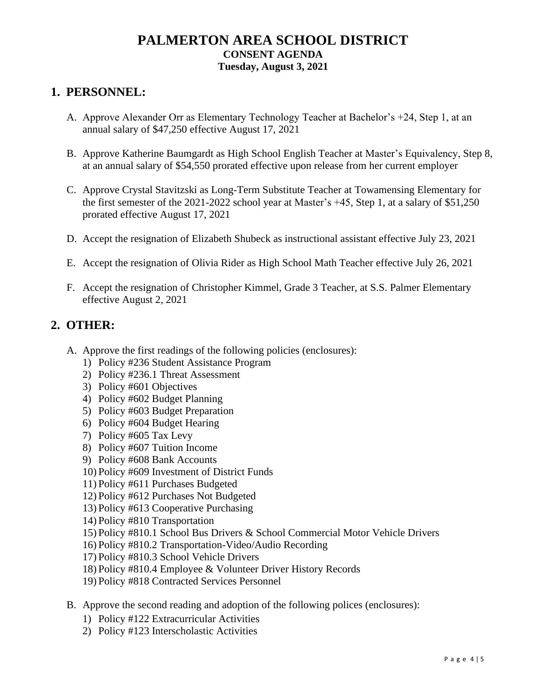# **PALMERTON AREA SCHOOL DISTRICT CONSENT AGENDA Tuesday, August 3, 2021**

# **1. PERSONNEL:**

- A. Approve Alexander Orr as Elementary Technology Teacher at Bachelor's +24, Step 1, at an annual salary of \$47,250 effective August 17, 2021
- B. Approve Katherine Baumgardt as High School English Teacher at Master's Equivalency, Step 8, at an annual salary of \$54,550 prorated effective upon release from her current employer
- C. Approve Crystal Stavitzski as Long-Term Substitute Teacher at Towamensing Elementary for the first semester of the 2021-2022 school year at Master's +45, Step 1, at a salary of \$51,250 prorated effective August 17, 2021
- D. Accept the resignation of Elizabeth Shubeck as instructional assistant effective July 23, 2021
- E. Accept the resignation of Olivia Rider as High School Math Teacher effective July 26, 2021
- F. Accept the resignation of Christopher Kimmel, Grade 3 Teacher, at S.S. Palmer Elementary effective August 2, 2021

# **2. OTHER:**

- A. Approve the first readings of the following policies (enclosures):
	- 1) Policy #236 Student Assistance Program
	- 2) Policy #236.1 Threat Assessment
	- 3) Policy #601 Objectives
	- 4) Policy #602 Budget Planning
	- 5) Policy #603 Budget Preparation
	- 6) Policy #604 Budget Hearing
	- 7) Policy #605 Tax Levy
	- 8) Policy #607 Tuition Income
	- 9) Policy #608 Bank Accounts
	- 10) Policy #609 Investment of District Funds
	- 11) Policy #611 Purchases Budgeted
	- 12) Policy #612 Purchases Not Budgeted
	- 13) Policy #613 Cooperative Purchasing
	- 14) Policy #810 Transportation
	- 15) Policy #810.1 School Bus Drivers & School Commercial Motor Vehicle Drivers
	- 16) Policy #810.2 Transportation-Video/Audio Recording
	- 17) Policy #810.3 School Vehicle Drivers
	- 18) Policy #810.4 Employee & Volunteer Driver History Records
	- 19) Policy #818 Contracted Services Personnel
- B. Approve the second reading and adoption of the following polices (enclosures):
	- 1) Policy #122 Extracurricular Activities
	- 2) Policy #123 Interscholastic Activities